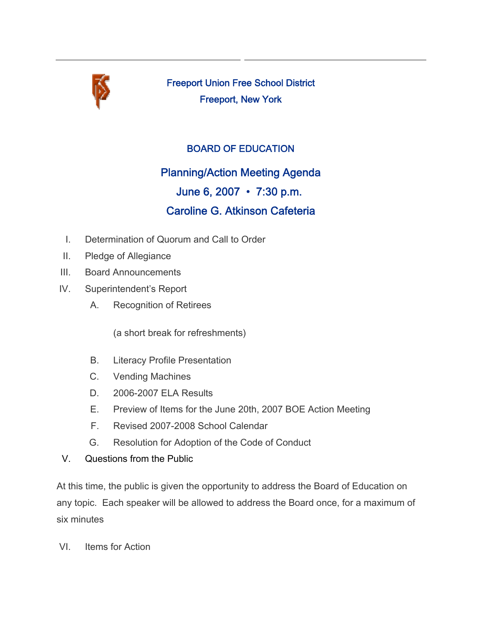

Freeport Union Free School District Freeport, New York

## BOARD OF EDUCATION

## Planning/Action Meeting Agenda June 6, 2007 • 7:30 p.m.

## Caroline G. Atkinson Cafeteria

- I. Determination of Quorum and Call to Order
- II. Pledge of Allegiance
- III. Board Announcements
- IV. Superintendent's Report
	- A. Recognition of Retirees

(a short break for refreshments)

- B. Literacy Profile Presentation
- C. Vending Machines
- D. 2006-2007 ELA Results
- E. Preview of Items for the June 20th, 2007 BOE Action Meeting
- F. Revised 2007-2008 School Calendar
- G. Resolution for Adoption of the Code of Conduct
- V. Questions from the Public

At this time, the public is given the opportunity to address the Board of Education on any topic. Each speaker will be allowed to address the Board once, for a maximum of six minutes

VI. Items for Action